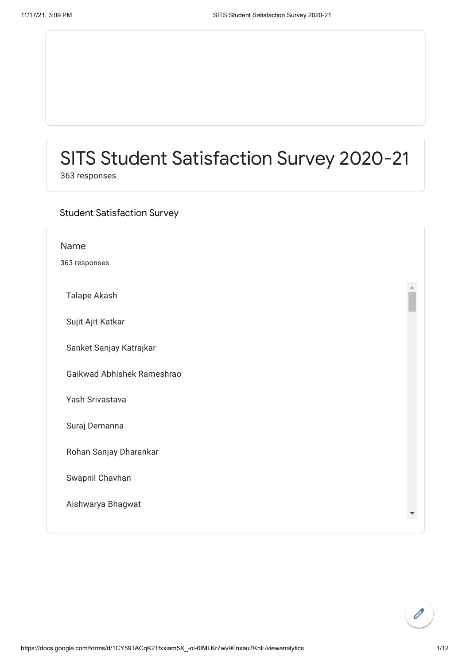### SITS Student Satisfaction Survey 2020-21

363 responses

### Student Satisfaction Survey

| Name                       |  |
|----------------------------|--|
| 363 responses              |  |
| Talape Akash               |  |
| Sujit Ajit Katkar          |  |
| Sanket Sanjay Katrajkar    |  |
| Gaikwad Abhishek Rameshrao |  |
| Yash Srivastava            |  |
| Suraj Demanna              |  |
| Rohan Sanjay Dharankar     |  |
| Swapnil Chavhan            |  |
| Aishwarya Bhagwat          |  |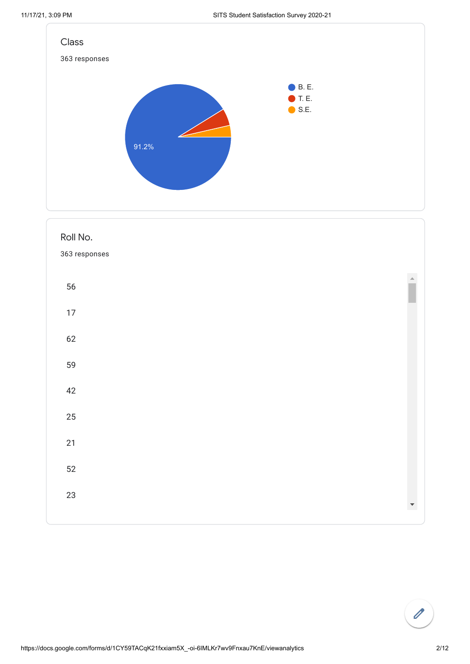



# $\overline{\mathscr{O}}$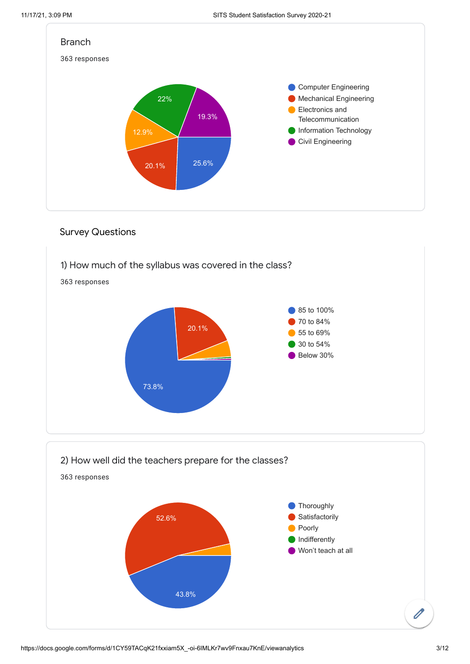

#### Survey Questions

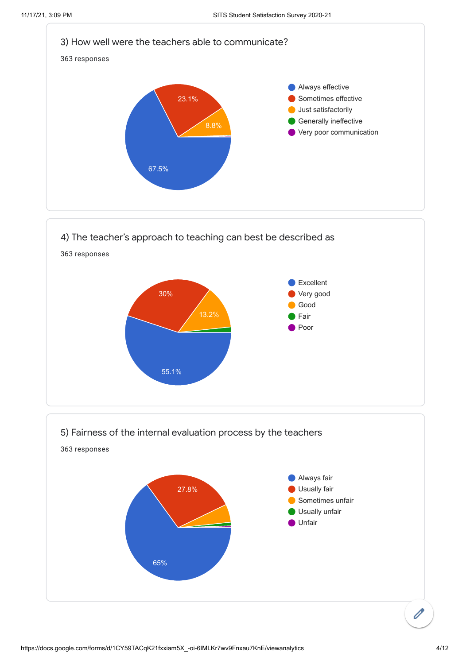

4) The teacher's approach to teaching can best be described as 363 responses Excellent Very good Good Fair Poor 13.2% 30% 55.1%

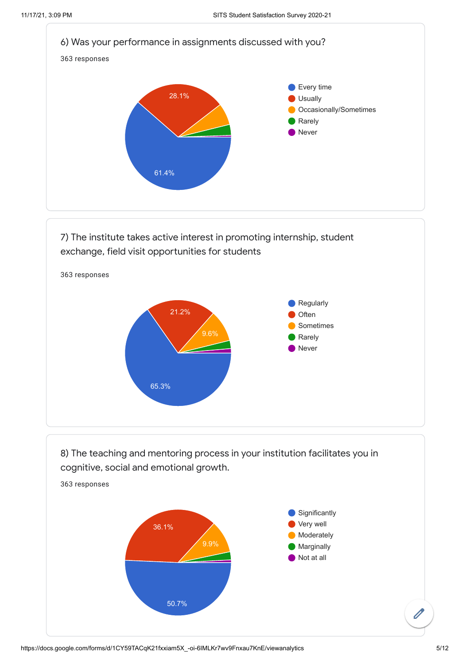

7) The institute takes active interest in promoting internship, student exchange, field visit opportunities for students



8) The teaching and mentoring process in your institution facilitates you in cognitive, social and emotional growth.

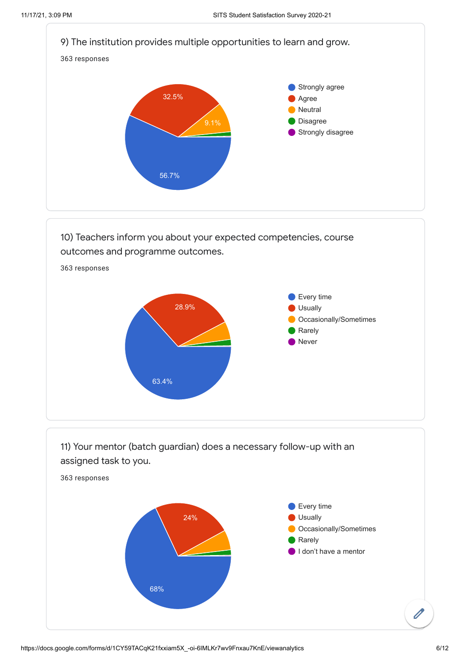

10) Teachers inform you about your expected competencies, course outcomes and programme outcomes.



https://docs.google.com/forms/d/1CY59TACqK21fxxiam5X\_-oi-6IMLKr7wv9Fnxau7KnE/viewanalytics 6/12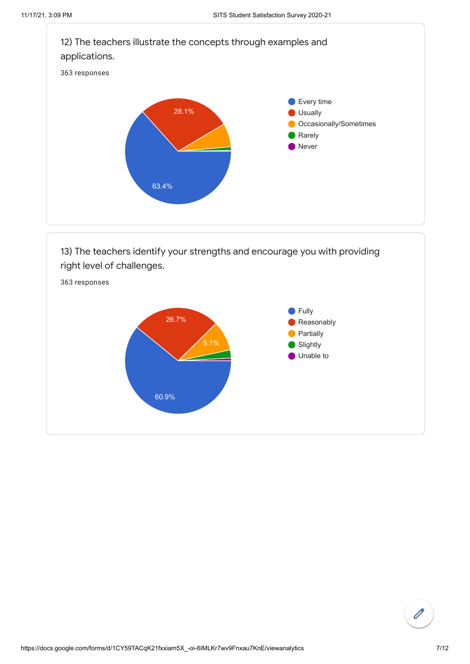Slightly Unable to



60.9%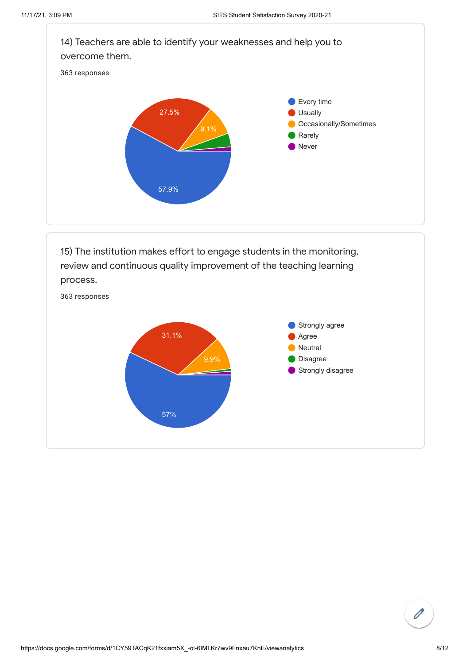

review and continuous quality improvement of the teaching learning process.



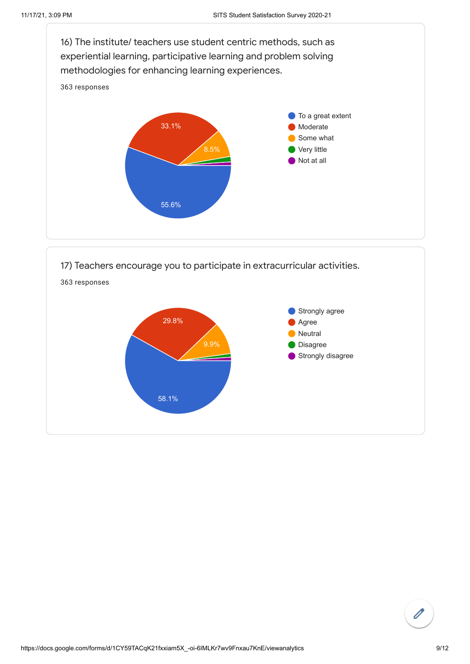

$$
\begin{pmatrix} \mathbf{0} \\ \mathbf{0} \end{pmatrix}
$$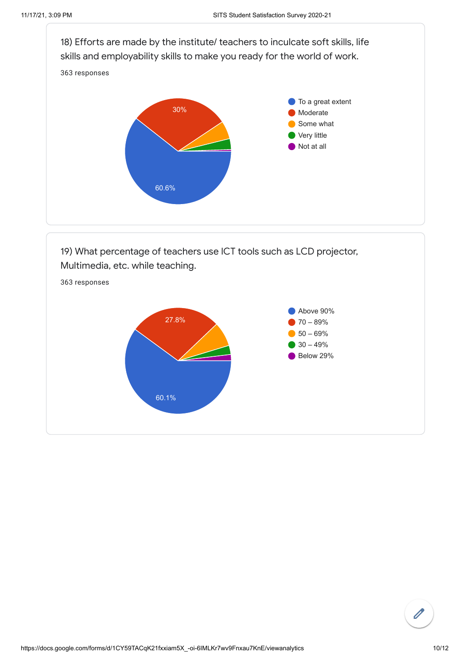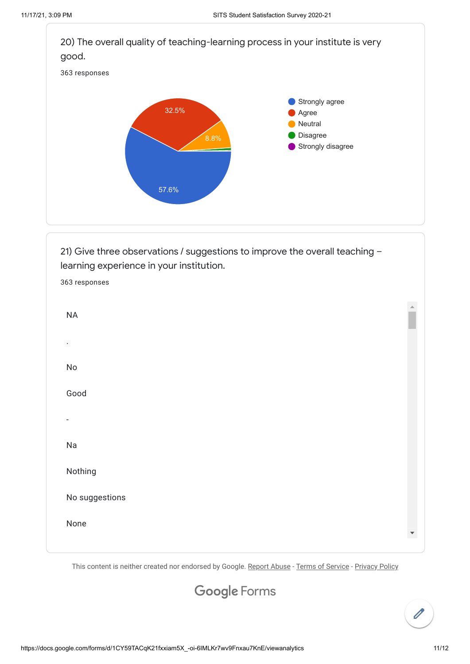

This content is neither created nor endorsed by Google. [Report Abuse](https://docs.google.com/forms/d/1CY59TACqK21fxxiam5X_-oi-6IMLKr7wv9Fnxau7KnE/reportabuse) - [Terms of Service](https://policies.google.com/terms) - [Privacy Policy](https://policies.google.com/privacy)